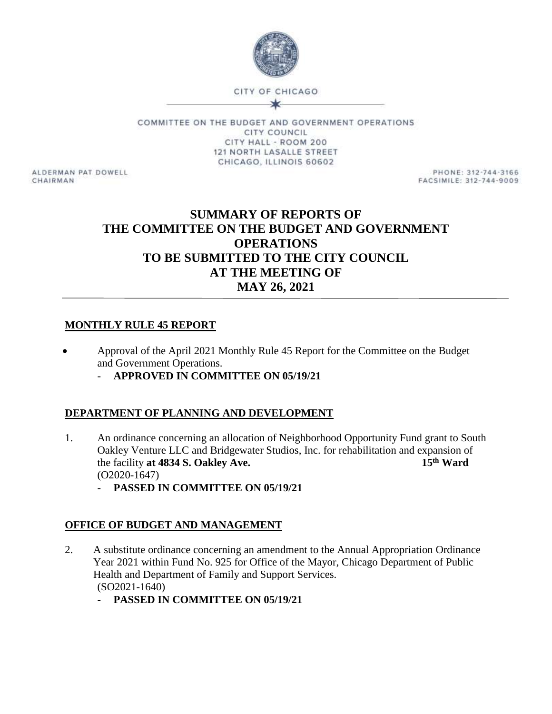

COMMITTEE ON THE BUDGET AND GOVERNMENT OPERATIONS **CITY COUNCIL** CITY HALL - ROOM 200 121 NORTH LASALLE STREET CHICAGO, ILLINOIS 60602

ALDERMAN PAT DOWELL CHAIRMAN

PHONE: 312-744-3166 FACSIMILE: 312-744-9009

# **SUMMARY OF REPORTS OF THE COMMITTEE ON THE BUDGET AND GOVERNMENT OPERATIONS TO BE SUBMITTED TO THE CITY COUNCIL AT THE MEETING OF MAY 26, 2021**

### **MONTHLY RULE 45 REPORT**

- Approval of the April 2021 Monthly Rule 45 Report for the Committee on the Budget and Government Operations.
	- **APPROVED IN COMMITTEE ON 05/19/21**

### **DEPARTMENT OF PLANNING AND DEVELOPMENT**

- 1. An ordinance concerning an allocation of Neighborhood Opportunity Fund grant to South Oakley Venture LLC and Bridgewater Studios, Inc. for rehabilitation and expansion of the facility at 4834 S. Oakley Ave. 15<sup>th</sup> Ward the facility **at 4834 S. Oakley Ave.** (O2020-1647)
	- **PASSED IN COMMITTEE ON 05/19/21**

## **OFFICE OF BUDGET AND MANAGEMENT**

- 2. A substitute ordinance concerning an amendment to the Annual Appropriation Ordinance Year 2021 within Fund No. 925 for Office of the Mayor, Chicago Department of Public Health and Department of Family and Support Services. (SO2021-1640)
	- **PASSED IN COMMITTEE ON 05/19/21**